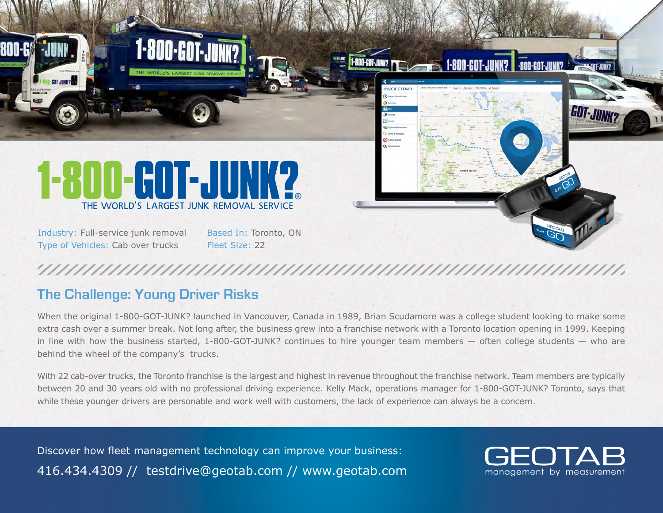

## **The Challenge: Young Driver Risks**

When the original 1-800-GOT-JUNK? launched in Vancouver, Canada in 1989, Brian Scudamore was a college student looking to make some extra cash over a summer break. Not long after, the business grew into a franchise network with a Toronto location opening in 1999. Keeping in line with how the business started, 1-800-GOT-JUNK? continues to hire younger team members — often college students — who are behind the wheel of the company's trucks.

With 22 cab-over trucks, the Toronto franchise is the largest and highest in revenue throughout the franchise network. Team members are typically between 20 and 30 years old with no professional driving experience. Kelly Mack, operations manager for 1-800-GOT-JUNK? Toronto, says that while these younger drivers are personable and work well with customers, the lack of experience can always be a concern.

Discover how fleet management technology can improve your business: 416.434.4309 // testdrive@geotab.com // www.geotab.com

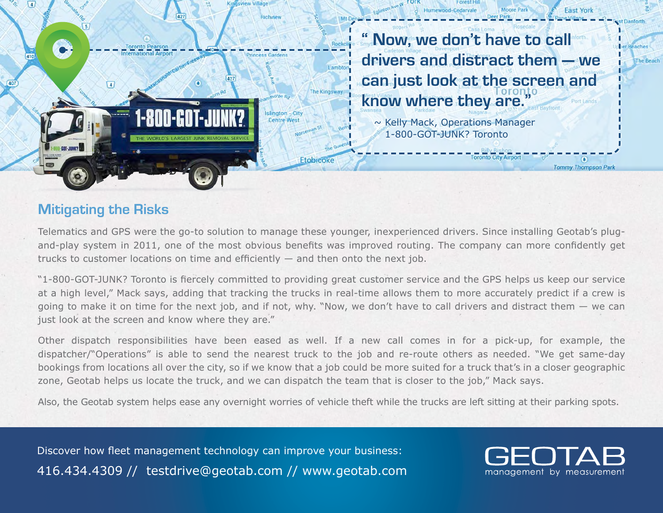

**" Now, we don't have to call drivers and distract them — we can just look at the screen and know where they are."**

**Toronto City Airport** 

**East York** 

**Tommy Thompson Park** 

Reaches

~ Kelly Mack, Operations Manager 1-800-GOT-JUNK? Toronto

## **Mitigating the Risks**

Telematics and GPS were the go-to solution to manage these younger, inexperienced drivers. Since installing Geotab's plugand-play system in 2011, one of the most obvious benefits was improved routing. The company can more confidently get trucks to customer locations on time and efficiently — and then onto the next job.

"1-800-GOT-JUNK? Toronto is fiercely committed to providing great customer service and the GPS helps us keep our service at a high level," Mack says, adding that tracking the trucks in real-time allows them to more accurately predict if a crew is going to make it on time for the next job, and if not, why. "Now, we don't have to call drivers and distract them — we can just look at the screen and know where they are."

Other dispatch responsibilities have been eased as well. If a new call comes in for a pick-up, for example, the dispatcher/"Operations" is able to send the nearest truck to the job and re-route others as needed. "We get same-day bookings from locations all over the city, so if we know that a job could be more suited for a truck that's in a closer geographic zone, Geotab helps us locate the truck, and we can dispatch the team that is closer to the job," Mack says.

Also, the Geotab system helps ease any overnight worries of vehicle theft while the trucks are left sitting at their parking spots.

Discover how fleet management technology can improve your business: 416.434.4309 // testdrive@geotab.com // www.geotab.com